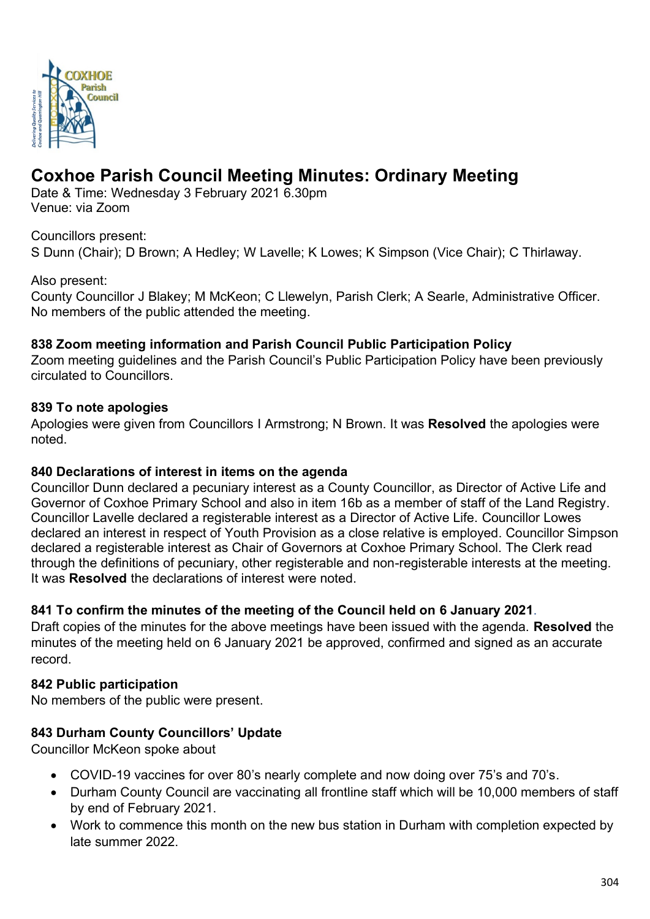

# **Coxhoe Parish Council Meeting Minutes: Ordinary Meeting**

Date & Time: Wednesday 3 February 2021 6.30pm Venue: via Zoom

Councillors present:

S Dunn (Chair); D Brown; A Hedley; W Lavelle; K Lowes; K Simpson (Vice Chair); C Thirlaway.

#### Also present:

County Councillor J Blakey; M McKeon; C Llewelyn, Parish Clerk; A Searle, Administrative Officer. No members of the public attended the meeting.

#### **838 Zoom meeting information and Parish Council Public Participation Policy**

Zoom meeting guidelines and the Parish Council's Public Participation Policy have been previously circulated to Councillors.

#### **839 To note apologies**

Apologies were given from Councillors I Armstrong; N Brown. It was **Resolved** the apologies were noted.

#### **840 Declarations of interest in items on the agenda**

Councillor Dunn declared a pecuniary interest as a County Councillor, as Director of Active Life and Governor of Coxhoe Primary School and also in item 16b as a member of staff of the Land Registry. Councillor Lavelle declared a registerable interest as a Director of Active Life. Councillor Lowes declared an interest in respect of Youth Provision as a close relative is employed. Councillor Simpson declared a registerable interest as Chair of Governors at Coxhoe Primary School. The Clerk read through the definitions of pecuniary, other registerable and non-registerable interests at the meeting. It was **Resolved** the declarations of interest were noted.

## **841 To confirm the minutes of the meeting of the Council held on 6 January 2021**.

Draft copies of the minutes for the above meetings have been issued with the agenda. **Resolved** the minutes of the meeting held on 6 January 2021 be approved, confirmed and signed as an accurate record.

## **842 Public participation**

No members of the public were present.

## **843 Durham County Councillors' Update**

Councillor McKeon spoke about

- COVID-19 vaccines for over 80's nearly complete and now doing over 75's and 70's.
- Durham County Council are vaccinating all frontline staff which will be 10,000 members of staff by end of February 2021.
- Work to commence this month on the new bus station in Durham with completion expected by late summer 2022.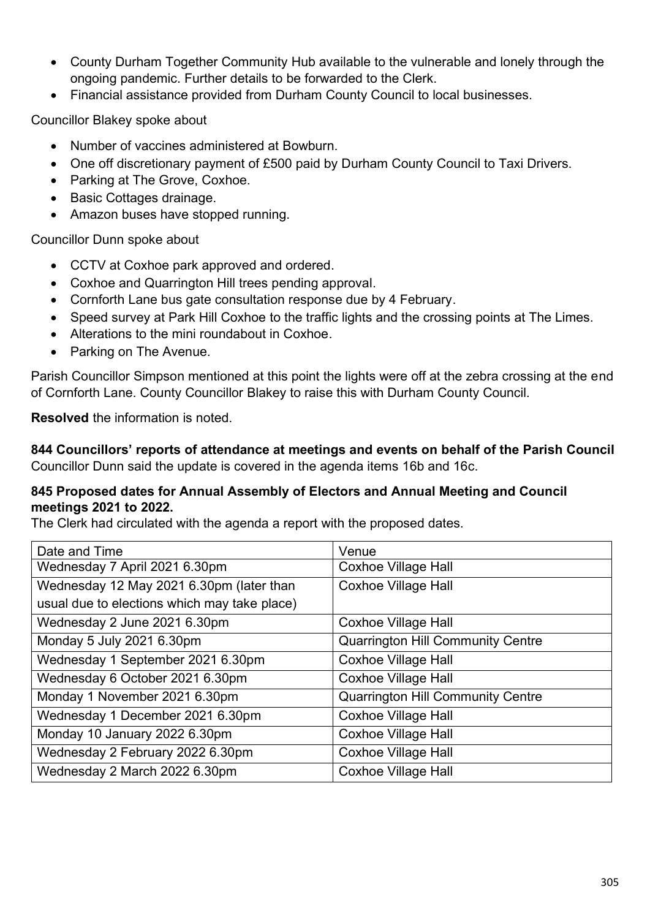- County Durham Together Community Hub available to the vulnerable and lonely through the ongoing pandemic. Further details to be forwarded to the Clerk.
- Financial assistance provided from Durham County Council to local businesses.

Councillor Blakey spoke about

- Number of vaccines administered at Bowburn.
- One off discretionary payment of £500 paid by Durham County Council to Taxi Drivers.
- Parking at The Grove, Coxhoe.
- Basic Cottages drainage.
- Amazon buses have stopped running.

Councillor Dunn spoke about

- CCTV at Coxhoe park approved and ordered.
- Coxhoe and Quarrington Hill trees pending approval.
- Cornforth Lane bus gate consultation response due by 4 February.
- Speed survey at Park Hill Coxhoe to the traffic lights and the crossing points at The Limes.
- Alterations to the mini roundabout in Coxhoe.
- Parking on The Avenue.

Parish Councillor Simpson mentioned at this point the lights were off at the zebra crossing at the end of Cornforth Lane. County Councillor Blakey to raise this with Durham County Council.

**Resolved** the information is noted.

**844 Councillors' reports of attendance at meetings and events on behalf of the Parish Council** Councillor Dunn said the update is covered in the agenda items 16b and 16c.

#### **845 Proposed dates for Annual Assembly of Electors and Annual Meeting and Council meetings 2021 to 2022.**

The Clerk had circulated with the agenda a report with the proposed dates.

| Date and Time                                | Venue                                    |  |
|----------------------------------------------|------------------------------------------|--|
| Wednesday 7 April 2021 6.30pm                | <b>Coxhoe Village Hall</b>               |  |
| Wednesday 12 May 2021 6.30pm (later than     | <b>Coxhoe Village Hall</b>               |  |
| usual due to elections which may take place) |                                          |  |
| Wednesday 2 June 2021 6.30pm                 | <b>Coxhoe Village Hall</b>               |  |
| Monday 5 July 2021 6.30pm                    | <b>Quarrington Hill Community Centre</b> |  |
| Wednesday 1 September 2021 6.30pm            | <b>Coxhoe Village Hall</b>               |  |
| Wednesday 6 October 2021 6.30pm              | <b>Coxhoe Village Hall</b>               |  |
| Monday 1 November 2021 6.30pm                | <b>Quarrington Hill Community Centre</b> |  |
| Wednesday 1 December 2021 6.30pm             | <b>Coxhoe Village Hall</b>               |  |
| Monday 10 January 2022 6.30pm                | <b>Coxhoe Village Hall</b>               |  |
| Wednesday 2 February 2022 6.30pm             | <b>Coxhoe Village Hall</b>               |  |
| Wednesday 2 March 2022 6.30pm                | <b>Coxhoe Village Hall</b>               |  |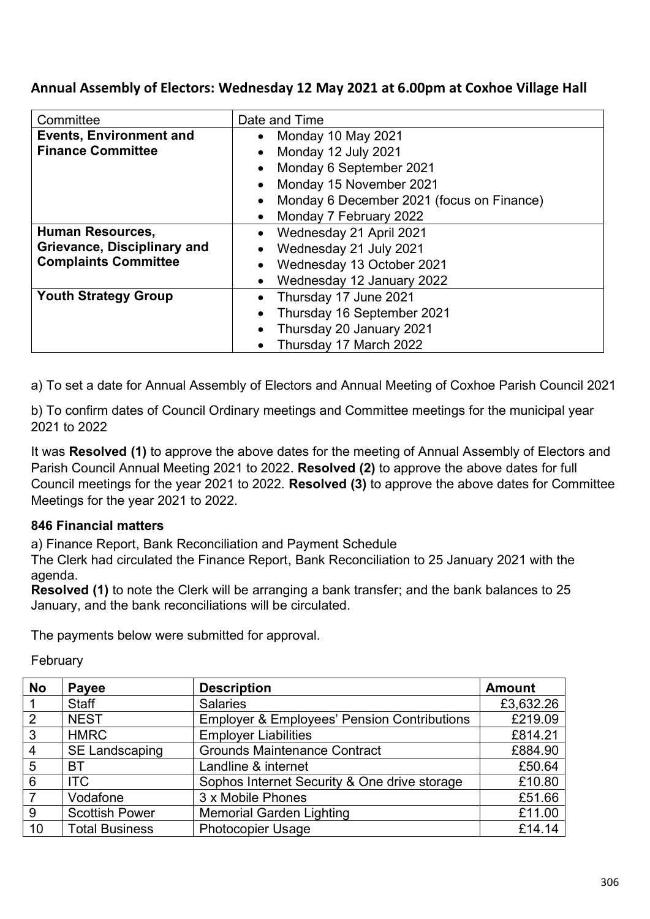# **Annual Assembly of Electors: Wednesday 12 May 2021 at 6.00pm at Coxhoe Village Hall**

| Committee                          | Date and Time                             |  |
|------------------------------------|-------------------------------------------|--|
| <b>Events, Environment and</b>     | Monday 10 May 2021<br>$\bullet$           |  |
| <b>Finance Committee</b>           | Monday 12 July 2021                       |  |
|                                    | Monday 6 September 2021                   |  |
|                                    | Monday 15 November 2021                   |  |
|                                    | Monday 6 December 2021 (focus on Finance) |  |
|                                    | Monday 7 February 2022                    |  |
| <b>Human Resources,</b>            | Wednesday 21 April 2021                   |  |
| <b>Grievance, Disciplinary and</b> | Wednesday 21 July 2021<br>$\bullet$       |  |
| <b>Complaints Committee</b>        | Wednesday 13 October 2021                 |  |
|                                    | Wednesday 12 January 2022                 |  |
| <b>Youth Strategy Group</b>        | Thursday 17 June 2021                     |  |
|                                    | Thursday 16 September 2021                |  |
|                                    | Thursday 20 January 2021                  |  |
|                                    | Thursday 17 March 2022                    |  |

a) To set a date for Annual Assembly of Electors and Annual Meeting of Coxhoe Parish Council 2021

b) To confirm dates of Council Ordinary meetings and Committee meetings for the municipal year 2021 to 2022

It was **Resolved (1)** to approve the above dates for the meeting of Annual Assembly of Electors and Parish Council Annual Meeting 2021 to 2022. **Resolved (2)** to approve the above dates for full Council meetings for the year 2021 to 2022. **Resolved (3)** to approve the above dates for Committee Meetings for the year 2021 to 2022.

# **846 Financial matters**

a) Finance Report, Bank Reconciliation and Payment Schedule

The Clerk had circulated the Finance Report, Bank Reconciliation to 25 January 2021 with the agenda.

**Resolved (1)** to note the Clerk will be arranging a bank transfer; and the bank balances to 25 January, and the bank reconciliations will be circulated.

The payments below were submitted for approval.

**February** 

| <b>No</b>      | Payee                 | <b>Description</b>                                     | <b>Amount</b> |
|----------------|-----------------------|--------------------------------------------------------|---------------|
|                | <b>Staff</b>          | <b>Salaries</b>                                        | £3,632.26     |
| 2              | <b>NEST</b>           | <b>Employer &amp; Employees' Pension Contributions</b> | £219.09       |
| $\mathbf{3}$   | <b>HMRC</b>           | <b>Employer Liabilities</b>                            | £814.21       |
| $\overline{4}$ | <b>SE Landscaping</b> | <b>Grounds Maintenance Contract</b>                    | £884.90       |
| 5              | ВT                    | Landline & internet                                    | £50.64        |
| 6              | <b>ITC</b>            | Sophos Internet Security & One drive storage           | £10.80        |
|                | Vodafone              | 3 x Mobile Phones                                      | £51.66        |
| 9              | <b>Scottish Power</b> | <b>Memorial Garden Lighting</b>                        | £11.00        |
| 10             | <b>Total Business</b> | <b>Photocopier Usage</b>                               | £14.14        |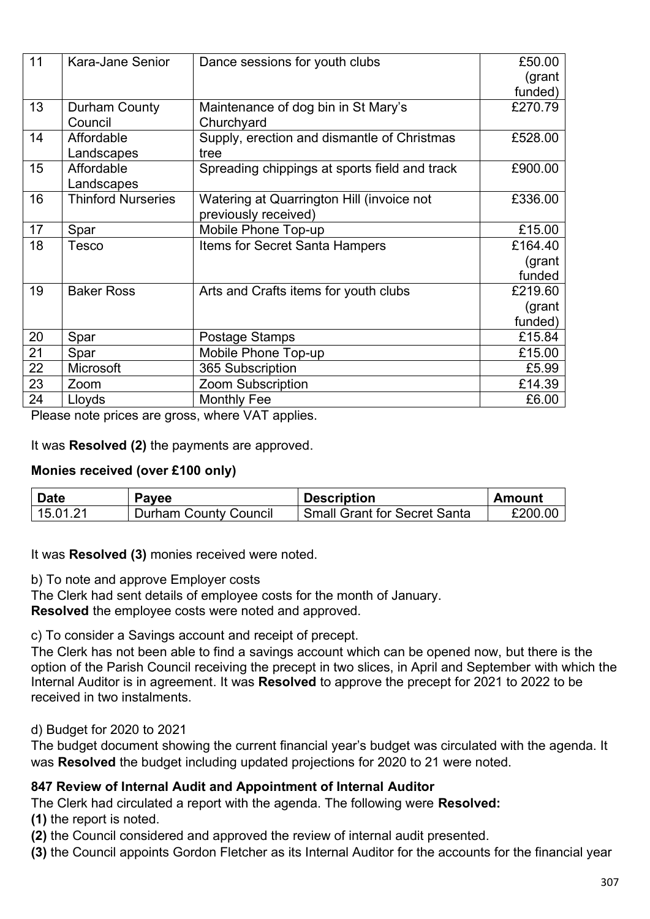| 11 | Kara-Jane Senior          | Dance sessions for youth clubs                | £50.00  |
|----|---------------------------|-----------------------------------------------|---------|
|    |                           |                                               | (grant  |
|    |                           |                                               | funded) |
| 13 | Durham County             | Maintenance of dog bin in St Mary's           | £270.79 |
|    | Council                   | Churchyard                                    |         |
| 14 | Affordable                | Supply, erection and dismantle of Christmas   | £528.00 |
|    | Landscapes                | tree                                          |         |
| 15 | Affordable                | Spreading chippings at sports field and track | £900.00 |
|    | Landscapes                |                                               |         |
| 16 | <b>Thinford Nurseries</b> | Watering at Quarrington Hill (invoice not     | £336.00 |
|    |                           | previously received)                          |         |
| 17 | Spar                      | Mobile Phone Top-up                           | £15.00  |
| 18 | Tesco                     | Items for Secret Santa Hampers                | £164.40 |
|    |                           |                                               | (grant  |
|    |                           |                                               | funded  |
| 19 | <b>Baker Ross</b>         | Arts and Crafts items for youth clubs         | £219.60 |
|    |                           |                                               | (grant  |
|    |                           |                                               | funded) |
| 20 | Spar                      | Postage Stamps                                | £15.84  |
| 21 | Spar                      | Mobile Phone Top-up                           | £15.00  |
| 22 | Microsoft                 | 365 Subscription                              | £5.99   |
| 23 | Zoom                      | <b>Zoom Subscription</b>                      | £14.39  |
| 24 | Lloyds                    | <b>Monthly Fee</b>                            | £6.00   |

Please note prices are gross, where VAT applies.

It was **Resolved (2)** the payments are approved.

## **Monies received (over £100 only)**

| <b>Date</b> | Payee                        | <b>Description</b>           | Amount  |
|-------------|------------------------------|------------------------------|---------|
| 15.01.21    | <b>Durham County Council</b> | Small Grant for Secret Santa | £200.00 |

It was **Resolved (3)** monies received were noted.

b) To note and approve Employer costs

The Clerk had sent details of employee costs for the month of January.

**Resolved** the employee costs were noted and approved.

c) To consider a Savings account and receipt of precept.

The Clerk has not been able to find a savings account which can be opened now, but there is the option of the Parish Council receiving the precept in two slices, in April and September with which the Internal Auditor is in agreement. It was **Resolved** to approve the precept for 2021 to 2022 to be received in two instalments.

## d) Budget for 2020 to 2021

The budget document showing the current financial year's budget was circulated with the agenda. It was **Resolved** the budget including updated projections for 2020 to 21 were noted.

## **847 Review of Internal Audit and Appointment of Internal Auditor**

The Clerk had circulated a report with the agenda. The following were **Resolved:**

**(1)** the report is noted.

**(2)** the Council considered and approved the review of internal audit presented.

**(3)** the Council appoints Gordon Fletcher as its Internal Auditor for the accounts for the financial year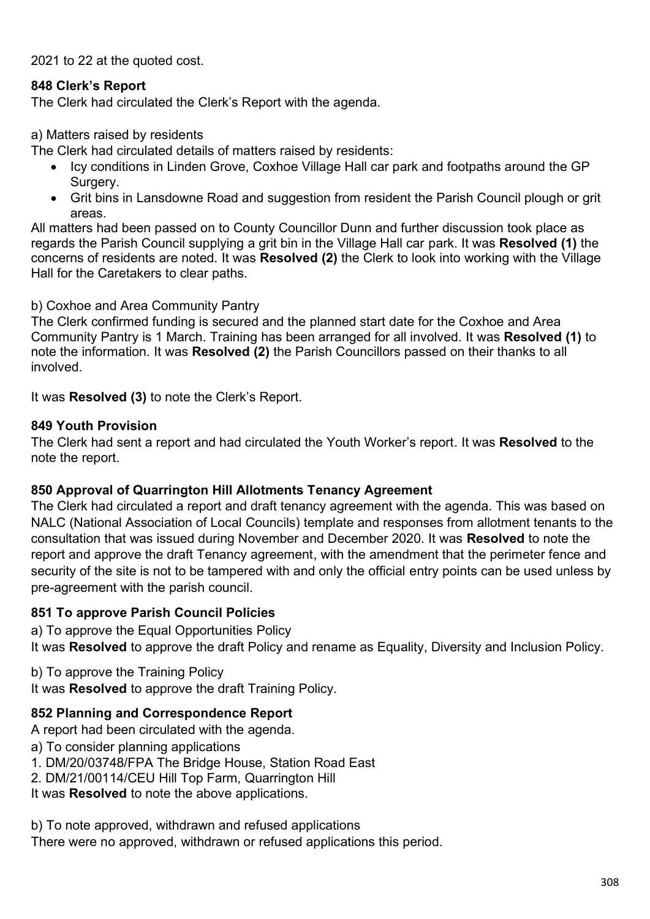2021 to 22 at the quoted cost.

## **848 Clerk's Report**

The Clerk had circulated the Clerk's Report with the agenda.

#### a) Matters raised by residents

The Clerk had circulated details of matters raised by residents:

- Icy conditions in Linden Grove, Coxhoe Village Hall car park and footpaths around the GP Surgery.
- Grit bins in Lansdowne Road and suggestion from resident the Parish Council plough or grit areas.

All matters had been passed on to County Councillor Dunn and further discussion took place as regards the Parish Council supplying a grit bin in the Village Hall car park. It was **Resolved (1)** the concerns of residents are noted. It was **Resolved (2)** the Clerk to look into working with the Village Hall for the Caretakers to clear paths.

#### b) Coxhoe and Area Community Pantry

The Clerk confirmed funding is secured and the planned start date for the Coxhoe and Area Community Pantry is 1 March. Training has been arranged for all involved. It was **Resolved (1)** to note the information. It was **Resolved (2)** the Parish Councillors passed on their thanks to all involved.

It was **Resolved (3)** to note the Clerk's Report.

## **849 Youth Provision**

The Clerk had sent a report and had circulated the Youth Worker's report. It was **Resolved** to the note the report.

## **850 Approval of Quarrington Hill Allotments Tenancy Agreement**

The Clerk had circulated a report and draft tenancy agreement with the agenda. This was based on NALC (National Association of Local Councils) template and responses from allotment tenants to the consultation that was issued during November and December 2020. It was **Resolved** to note the report and approve the draft Tenancy agreement, with the amendment that the perimeter fence and security of the site is not to be tampered with and only the official entry points can be used unless by pre-agreement with the parish council.

## **851 To approve Parish Council Policies**

a) To approve the Equal Opportunities Policy

It was **Resolved** to approve the draft Policy and rename as Equality, Diversity and Inclusion Policy.

b) To approve the Training Policy

It was **Resolved** to approve the draft Training Policy.

## **852 Planning and Correspondence Report**

A report had been circulated with the agenda.

- a) To consider planning applications
- 1. DM/20/03748/FPA The Bridge House, Station Road East
- 2. DM/21/00114/CEU Hill Top Farm, Quarrington Hill

It was **Resolved** to note the above applications.

b) To note approved, withdrawn and refused applications

There were no approved, withdrawn or refused applications this period.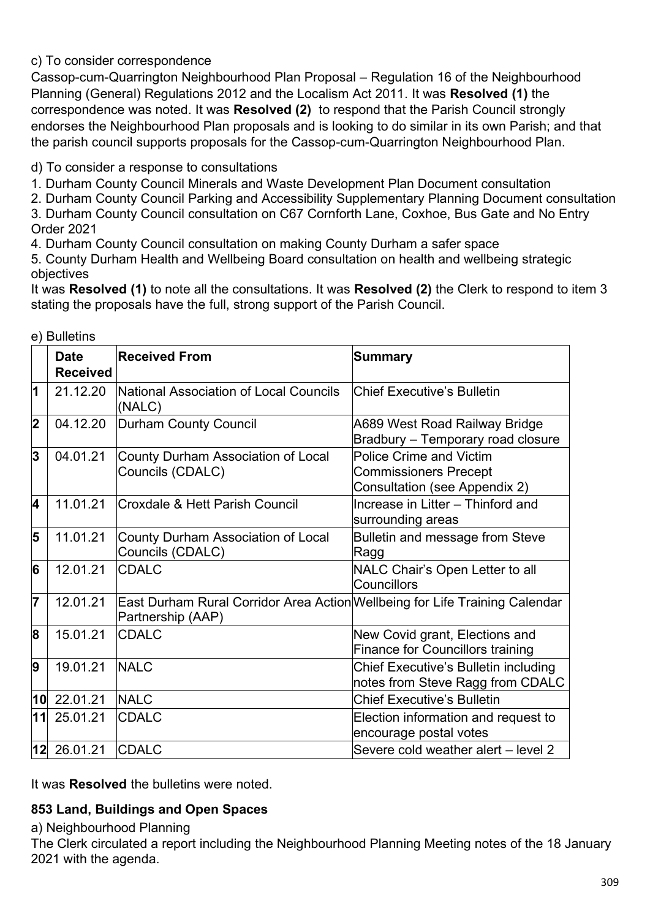# c) To consider correspondence

Cassop-cum-Quarrington Neighbourhood Plan Proposal – Regulation 16 of the Neighbourhood Planning (General) Regulations 2012 and the Localism Act 2011. It was **Resolved (1)** the correspondence was noted. It was **Resolved (2)** to respond that the Parish Council strongly endorses the Neighbourhood Plan proposals and is looking to do similar in its own Parish; and that the parish council supports proposals for the Cassop-cum-Quarrington Neighbourhood Plan.

d) To consider a response to consultations

1. Durham County Council Minerals and Waste Development Plan Document consultation

2. Durham County Council Parking and Accessibility Supplementary Planning Document consultation 3. Durham County Council consultation on C67 Cornforth Lane, Coxhoe, Bus Gate and No Entry

Order 2021

4. Durham County Council consultation on making County Durham a safer space

5. County Durham Health and Wellbeing Board consultation on health and wellbeing strategic objectives

It was **Resolved (1)** to note all the consultations. It was **Resolved (2)** the Clerk to respond to item 3 stating the proposals have the full, strong support of the Parish Council.

|                         | <b>Date</b>     | <b>Received From</b>                                                                             | <b>Summary</b>                                                                                  |
|-------------------------|-----------------|--------------------------------------------------------------------------------------------------|-------------------------------------------------------------------------------------------------|
|                         | <b>Received</b> |                                                                                                  |                                                                                                 |
| 1                       | 21.12.20        | National Association of Local Councils<br>(NALC)                                                 | <b>Chief Executive's Bulletin</b>                                                               |
| $\overline{\mathbf{2}}$ | 04.12.20        | Durham County Council                                                                            | A689 West Road Railway Bridge<br>Bradbury - Temporary road closure                              |
| 3                       | 04.01.21        | County Durham Association of Local<br>Councils (CDALC)                                           | <b>Police Crime and Victim</b><br><b>Commissioners Precept</b><br>Consultation (see Appendix 2) |
| 4                       | 11.01.21        | Croxdale & Hett Parish Council                                                                   | Increase in Litter - Thinford and<br>surrounding areas                                          |
| 5                       | 11.01.21        | County Durham Association of Local<br>Councils (CDALC)                                           | Bulletin and message from Steve<br>Ragg                                                         |
| 6                       | 12.01.21        | <b>CDALC</b>                                                                                     | NALC Chair's Open Letter to all<br>Councillors                                                  |
| 7                       | 12.01.21        | East Durham Rural Corridor Area Action Wellbeing for Life Training Calendar<br>Partnership (AAP) |                                                                                                 |
| 8                       | 15.01.21        | <b>CDALC</b>                                                                                     | New Covid grant, Elections and<br><b>Finance for Councillors training</b>                       |
| 9                       | 19.01.21        | <b>NALC</b>                                                                                      | Chief Executive's Bulletin including<br>notes from Steve Ragg from CDALC                        |
|                         | $10$ 22.01.21   | <b>NALC</b>                                                                                      | <b>Chief Executive's Bulletin</b>                                                               |
|                         | 11 25.01.21     | <b>CDALC</b>                                                                                     | Election information and request to<br>encourage postal votes                                   |
|                         | $12$ 26.01.21   | <b>CDALC</b>                                                                                     | Severe cold weather alert - level 2                                                             |

e) Bulletins

It was **Resolved** the bulletins were noted.

# **853 Land, Buildings and Open Spaces**

a) Neighbourhood Planning

The Clerk circulated a report including the Neighbourhood Planning Meeting notes of the 18 January 2021 with the agenda.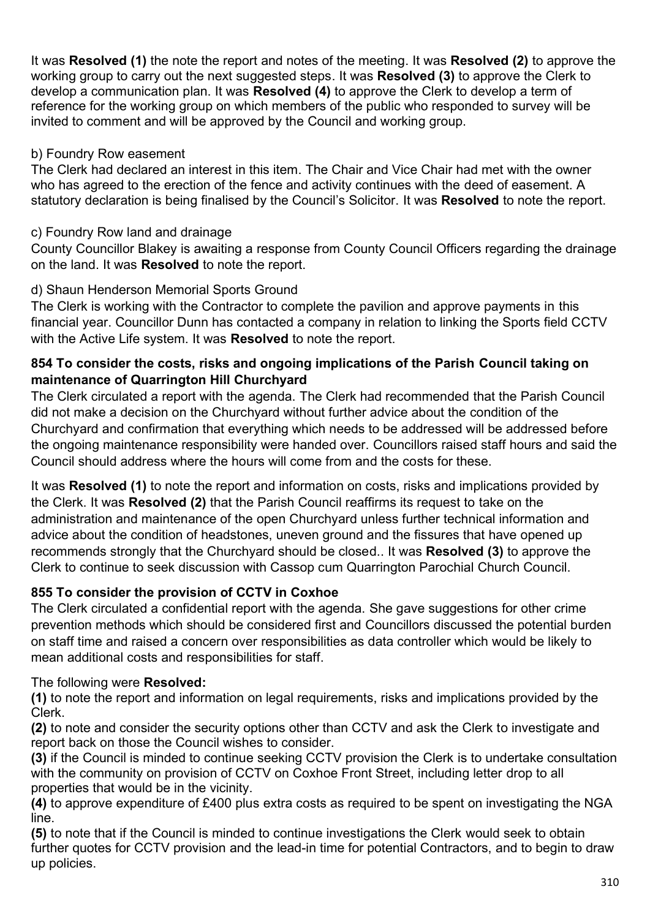It was **Resolved (1)** the note the report and notes of the meeting. It was **Resolved (2)** to approve the working group to carry out the next suggested steps. It was **Resolved (3)** to approve the Clerk to develop a communication plan. It was **Resolved (4)** to approve the Clerk to develop a term of reference for the working group on which members of the public who responded to survey will be invited to comment and will be approved by the Council and working group.

## b) Foundry Row easement

The Clerk had declared an interest in this item. The Chair and Vice Chair had met with the owner who has agreed to the erection of the fence and activity continues with the deed of easement. A statutory declaration is being finalised by the Council's Solicitor. It was **Resolved** to note the report.

# c) Foundry Row land and drainage

County Councillor Blakey is awaiting a response from County Council Officers regarding the drainage on the land. It was **Resolved** to note the report.

# d) Shaun Henderson Memorial Sports Ground

The Clerk is working with the Contractor to complete the pavilion and approve payments in this financial year. Councillor Dunn has contacted a company in relation to linking the Sports field CCTV with the Active Life system. It was **Resolved** to note the report.

## **854 To consider the costs, risks and ongoing implications of the Parish Council taking on maintenance of Quarrington Hill Churchyard**

The Clerk circulated a report with the agenda. The Clerk had recommended that the Parish Council did not make a decision on the Churchyard without further advice about the condition of the Churchyard and confirmation that everything which needs to be addressed will be addressed before the ongoing maintenance responsibility were handed over. Councillors raised staff hours and said the Council should address where the hours will come from and the costs for these.

It was **Resolved (1)** to note the report and information on costs, risks and implications provided by the Clerk. It was **Resolved (2)** that the Parish Council reaffirms its request to take on the administration and maintenance of the open Churchyard unless further technical information and advice about the condition of headstones, uneven ground and the fissures that have opened up recommends strongly that the Churchyard should be closed.. It was **Resolved (3)** to approve the Clerk to continue to seek discussion with Cassop cum Quarrington Parochial Church Council.

# **855 To consider the provision of CCTV in Coxhoe**

The Clerk circulated a confidential report with the agenda. She gave suggestions for other crime prevention methods which should be considered first and Councillors discussed the potential burden on staff time and raised a concern over responsibilities as data controller which would be likely to mean additional costs and responsibilities for staff.

## The following were **Resolved:**

**(1)** to note the report and information on legal requirements, risks and implications provided by the Clerk.

**(2)** to note and consider the security options other than CCTV and ask the Clerk to investigate and report back on those the Council wishes to consider.

**(3)** if the Council is minded to continue seeking CCTV provision the Clerk is to undertake consultation with the community on provision of CCTV on Coxhoe Front Street, including letter drop to all properties that would be in the vicinity.

**(4)** to approve expenditure of £400 plus extra costs as required to be spent on investigating the NGA line.

**(5)** to note that if the Council is minded to continue investigations the Clerk would seek to obtain further quotes for CCTV provision and the lead-in time for potential Contractors, and to begin to draw up policies.